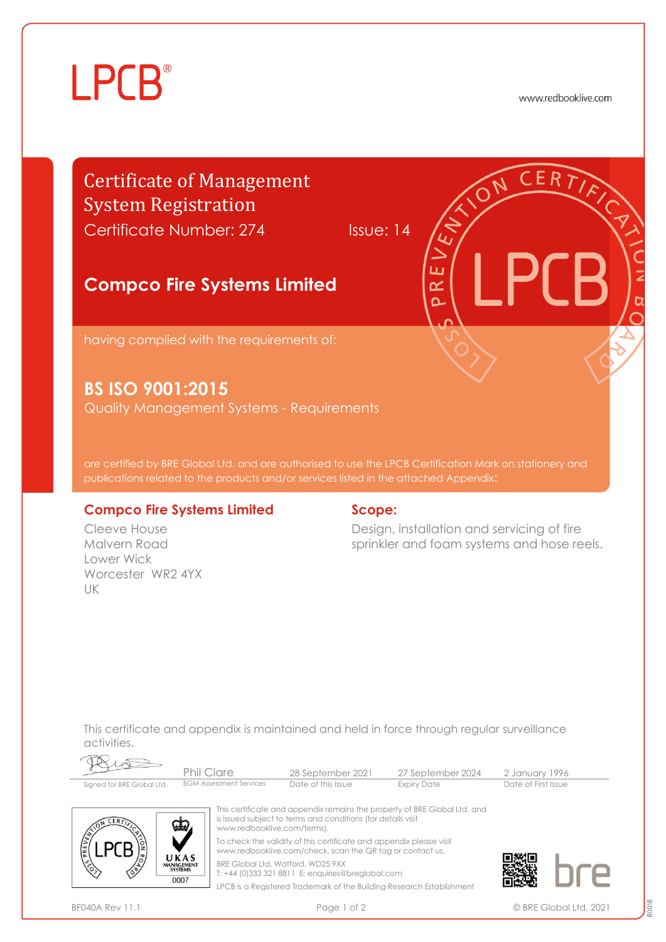# **LPCB**

www.redbooklive.com

## Certificate of Management System Registration

Certificate Number: 274 Issue: 14

๔

### **Compco Fire Systems Limited**

having complied with the requirements of:

**BS ISO 9001:2015**

Quality Management Systems - Requirements

are certified by BRE Global Ltd. and are authorised to use the LPCB Certification Mark on stationery and publications related to the products and/or services listed in the attached Appendix:

#### **Compco Fire Systems Limited**

Cleeve House Malvern Road Lower Wick Worcester WR2 4YX UK

#### **Scope:**

Design, installation and servicing of fire sprinkler and foam systems and hose reels.

This certificate and appendix is maintained and held in force through regular surveillance activities.

|                            | Phil Clare                     | 28 September 2021  | 27 September 2024 | 2 January 1996      |  |
|----------------------------|--------------------------------|--------------------|-------------------|---------------------|--|
| Signed for BRE Global Ltd. | <b>BGM Assessment Services</b> | Date of this Issue | Expiry Date       | Date of First Issue |  |



This certificate and appendix remains the property of BRE Global Ltd. and is issued subject to terms and conditions (for details visit www.redbooklive.com/terms). To check the validity of this certificate and appendix please visit [www.redbooklive.com/check,](http://www.redbooklive.com/check) scan the QR tag or contact us.

BRE Global Ltd, Watford, WD25 9XX

T: +44 (0)333 321 8811 E[: enquiries@breglobal.com](mailto:enquiries@breglobal.com) LPCB is a Registered Trademark of the Building Research Establishment